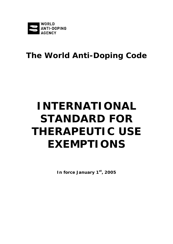

# **The World Anti-Doping Code**

# **INTERNATIONAL STANDARD FOR THERAPEUTIC USE EXEMPTIONS**

**In force January 1st, 2005**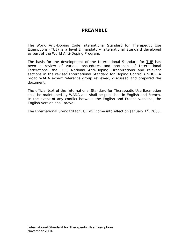#### **PREAMBLE**

The World Anti-Doping Code *International Standard* for Therapeutic Use Exemptions (TUE) is a level 2 mandatory *International Standard* developed as part of the World Anti-Doping Program.

The basis for the development of the *International Standard* for TUE has been a review of various procedures and protocols of International Federations, the IOC, National Anti-Doping Organizations and relevant sections in the revised International Standard for Doping Control (ISDC). A broad WADA expert reference group reviewed, discussed and prepared the document.

The official text of the *International Standard* for Therapeutic Use Exemption shall be maintained by WADA and shall be published in English and French. In the event of any conflict between the English and French versions, the English version shall prevail.

The *International Standard* for **TUE** will come into effect on January 1<sup>st</sup>, 2005.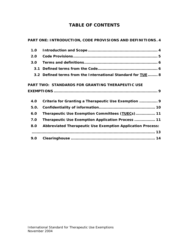# **TABLE OF CONTENTS**

|                                                  | PART ONE: INTRODUCTION, CODE PROVISIONS AND DEFINITIONS. 4        |
|--------------------------------------------------|-------------------------------------------------------------------|
| 1.0                                              |                                                                   |
| 2.0                                              |                                                                   |
| 3.0                                              |                                                                   |
| 3.1                                              |                                                                   |
|                                                  | 3.2 Defined terms from the International Standard for TUE 8       |
| PART TWO: STANDARDS FOR GRANTING THERAPEUTIC USE |                                                                   |
| 4.0                                              |                                                                   |
|                                                  | Criteria for Granting a Therapeutic Use Exemption  9              |
| 5.0.                                             |                                                                   |
| 6.0                                              | Therapeutic Use Exemption Committees (TUECs) 11                   |
| 7.0                                              | Therapeutic Use Exemption Application Process  11                 |
| 8.0                                              | <b>Abbreviated Therapeutic Use Exemption Application Process:</b> |
|                                                  |                                                                   |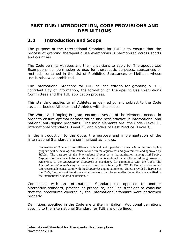#### <span id="page-3-0"></span>**PART ONE: INTRODUCTION, CODE PROVISIONS AND DEFINITIONS**

#### **1.0 Introduction and Scope**

The purpose of the *International Standard* for TUE is to ensure that the process of granting therapeutic use exemptions is harmonized across sports and countries.

The *Code* permits *Athletes* and their physicians to apply for Therapeutic Use Exemptions i.e. permission to use, for therapeutic purposes, substances or methods contained in the *List of Prohibited Substances or Methods* whose use is otherwise prohibited.

The *International Standard* for TUE includes criteria for granting a TUE, confidentiality of information, the formation of Therapeutic Use Exemptions Committees and the TUE application process.

This standard applies to all *Athletes* as defined by and subject to the *Code* i.e. able-bodied *Athletes* and *Athletes* with disabilities.

The World Anti-Doping Program encompasses all of the elements needed in order to ensure optimal harmonization and best practice in international and national anti-doping programs. The main elements are: the *Code* (Level 1), *International Standards* (Level 2), and Models of Best Practice (Level 3).

In the introduction to the *Code*, the purpose and implementation of the *International Standards* are summarized as follows:

"*International Standards* for different technical and operational areas within the anti-doping program will be developed in consultation with the *Signatories* and governments and approved by *WADA*. The purpose of the *International Standards* is harmonization among *Anti-Doping Organizations* responsible for specific technical and operational parts of the anti-doping programs. Adherence to the *International Standards* is mandatory for compliance with the *Code*. The *International Standards* may be revised from time to time by the *WADA* Executive Committee after reasonable consultation with the *Signatories* and governments. Unless provided otherwise in the *Code*, *International Standards* and all revisions shall become effective on the date specified in the International Standard or revision. ."

Compliance with an *International Standard* (as opposed to another alternative standard, practice or procedure) shall be sufficient to conclude that the procedures covered by the *International Standard* were performed properly.

Definitions specified in the *Code* are written in italics. Additional definitions specific to the *International Standard* for TUE are underlined.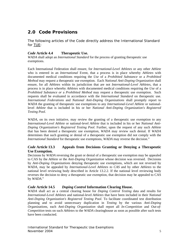# <span id="page-4-0"></span>**2.0** *Code* **Provisions**

The following articles of the *Code* directly address the *International Standard*  for TUE:

#### *Code* **Article 4.4 Therapeutic Use.**

*WADA* shall adopt an *International Standard* for the process of granting therapeutic use exemptions.

Each International Federation shall ensure, for *International-Level Athletes* or any other *Athlete*  who is entered in an *International* Event, that a process is in place whereby *Athletes* with documented medical conditions requiring the *Use* of a *Prohibited Substance* or a *Prohibited Method* may request a therapeutic use exemption. Each *National Anti-Doping Organization* shall ensure, for all *Athletes* within its jurisdiction that are not *International-Level Athletes*, that a process is in place whereby *Athletes* with documented medical conditions requiring the *Use* of a *Prohibited Substance or* a *Prohibited Method* may request a therapeutic use exemption. Such requests shall be evaluated in accordance with the *International Standard* on therapeutic use. *International Federations* and *National Anti-Doping Organizations* shall promptly report to *WADA* the granting of therapeutic use exemptions to any *International-Level Athlete* or nationallevel *Athlete* that is included in his or her *National Anti-Doping Organization's Registered Testing Pool*.

*WADA*, on its own initiative, may review the granting of a therapeutic use exemption to any *International-Level Athlete* or national-level *Athlete* that is included in his or her *National Anti-Doping Organization's Registered Testing Pool*. Further, upon the request of any such *Athlete* that has been denied a therapeutic use exemption, *WADA* may review such denial. If *WADA* determines that such granting or denial of a therapeutic use exemption did not comply with the *International Standard* for therapeutic use exemptions, *WADA* may reverse the decision."

#### *Code* **Article 13.3 Appeals from Decisions Granting or Denying a Therapeutic Use Exemption.**

Decisions by *WADA* reversing the grant or denial of a therapeutic use exemption may be appealed to CAS by the *Athlete* or the *Anti-Doping Organization* whose decision was reversed. Decisions by *Anti-Doping Organizations* denying therapeutic use exemptions, which are not reversed by *WADA*, may be appealed by *International-Level Athletes to CAS* and by other *Athletes* to the national level reviewing body described in Article 13.2.2. If the national level reviewing body reverses the decision to deny a therapeutic use exemption, that decision may be appealed to CAS by *WADA*."

#### *Code* **Article 14.5** *Doping Control* **Information Clearing House.**

*WADA* shall act as a central clearing house for *Doping Control Testing* data and results for *International-Level Athletes* and national-level *Athletes* that have been included in their *National Anti-Doping Organization's Registered Testing Pool*. To facilitate coordinated test distribution planning and to avoid unnecessary duplication in *Testing* by the various *Anti-Doping Organizations*, each *Anti-Doping Organization* shall report all *In-Competition* and *Out-of-Competition* tests on such *Athletes* to the *WADA* clearinghouse as soon as possible after such tests have been conducted.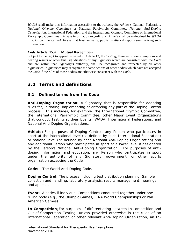<span id="page-5-0"></span>*WADA* shall make this information accessible to the *Athlete*, the *Athlete's* National Federation, *National Olympic Committee* or National Paralympic Committee, *National Anti-Doping Organization*, International Federation, and the International Olympic Committee or International Paralympic Committee. Private information regarding an *Athlete* shall be maintained by *WADA* in strict confidence. *WADA* shall, at least annually, publish statistical reports summarizing such information.

#### *Code* **Article 15.4 Mutual Recognition.**

Subject to the right to appeal provided in Article 13, the *Testing*, therapeutic use exemptions and hearing results or other final adjudications of any *Signatory* which are consistent with the *Code* and are within that *Signatory's* authority, shall be recognized and respected by all other *Signatories*. *Signatories* may recognize the same actions of other bodies which have not accepted the *Code* if the rules of those bodies are otherwise consistent with the *Code*."

### **3.0 Terms and definitions**

#### **3.1 Defined terms from the Code**

*Anti-Doping Organization:* A *Signatory* that is responsible for adopting rules for, initiating, implementing or enforcing any part of the *Doping Control* process. This includes, for example, the International Olympic Committee, the International Paralympic Committee, other *Major Event Organizations* that conduct *Testing* at their *Events*, *WADA*, International Federations, and *National Anti-Doping Organizations.*

*Athlete:* For purposes of *Doping Control*, any *Person* who participates in sport at the international level (as defined by each International Federation) or national level (as defined by each *National Anti-Doping Organization*) and any additional *Person* who participates in sport at a lower level if designated by the *Person*'s *National Anti-Doping Organization*. For purposes of antidoping information and education, any *Person* who participates in sport under the authority of any *Signatory*, government, or other sports organization accepting the *Code*.

*Code:* The World Anti-Doping Code*.*

*Doping Control:* The process including test distribution planning, *Sample*  collection and handling, laboratory analysis, results management, hearings and appeals.

**Event:** A series if individual Competitions conducted together under one ruling body (e.g., the Olympic Games, FINA World Championships or Pan American Games).

*In-Competition***:** For purposes of differentiating between *In-competition* and *Out-of-Competition Testing*, unless provided otherwise in the rules of an International Federation or other relevant *Anti-Doping Organization*, an *In-*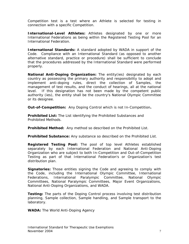*Competition* test is a test where an *Athlete* is selected for *testing* in connection with a specific Competition.

*International-Level Athletes: Athletes* designated by one or more International Federations as being within the *Registered Testing Pool* for an International Federation.

*International Standards:* A standard adopted by *WADA* in support of the *Code*. Compliance with an *International Standard* (as opposed to another alternative standard, practice or procedure) shall be sufficient to conclude that the procedures addressed by the *International Standard* were performed properly.

*National Anti-Doping Organization:* The entity(ies) designated by each country as possessing the primary authority and responsibility to adopt and implement anti-doping rules, direct the collection of *Samples*, the management of test results, and the conduct of hearings, all at the national level. If this designation has not been made by the competent public authority (ies), the entity shall be the country's National Olympic Committee or its designee.

*Out-of-Competition:* Any *Doping Control* which is not *In-Competition***.**

*Prohibited List:* The List identifying the *Prohibited Substances* and *Prohibited Methods*.

*Prohibited Method:* Any method so described on the *Prohibited List*.

*Prohibited Substance:* Any substance so described on the *Prohibited List*.

*Registered Testing Pool:* The pool of top level *Athletes* established separately by each International Federation and *National Anti-Doping Organization* who are subject to both *In-Competition* and *Out-of-Competition* T*esting* as part of that International Federation's or Organization's test distribution plan.

*Signatories:* Those entities signing the *Code* and agreeing to comply with the *Code*, including the International Olympic Committee, International Federations, International Paralympic Committee, *National Olympic Committee*s, National Paralympic Committees, *Major Event Organizations*, *National Anti-Doping Organizations*, and *WADA*.

*Testing:* The parts of the *Doping Control* process involving test distribution planning, *Sample* collection, *Sample* handling, and *Sample* transport to the laboratory.

*WADA:* The World Anti-Doping Agency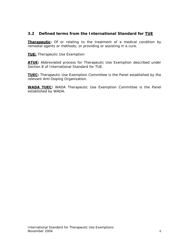#### <span id="page-7-0"></span>**3.2 Defined terms from the** *International Standard* **for TUE**

**Therapeutic:** Of or relating to the treatment of a medical condition by remedial agents or methods; or providing or assisting in a cure.

**TUE:** Therapeutic Use Exemption

**ATUE:** Abbreviated process for Therapeutic Use Exemption described under Section 8 of International Standard for TUE.

**TUEC:** Therapeutic Use Exemption Committee is the Panel established by the relevant *Anti-Doping Organization.* 

**WADA TUEC:** *WADA* Therapeutic Use Exemption Committee is the Panel established by *WADA*.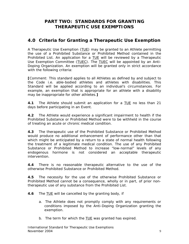# **PART TWO: STANDARDS FOR GRANTING THERAPEUTIC USE EXEMPTIONS**

# <span id="page-8-0"></span>**4.0 Criteria for Granting a Therapeutic Use Exemption**

A Therapeutic Use Exemption (TUE) may be granted to an *Athlete* permitting the use of a *Prohibited Substance* or *Prohibited Method* contained in the *Prohibited List*. An application for a TUE will be reviewed by a Therapeutic Use Exemption Committee (TUEC). The TUEC will be appointed by an *Anti-Doping Organization*. An exemption will be granted only in strict accordance with the following criteria:

*[Comment: This standard applies to all Athletes as defined by and subject to the Code i.e. able-bodied athletes and athletes with disabilities. This Standard will be applied according to an individual's circumstances. For example, an exemption that is appropriate for an athlete with a disability may be inappropriate for other athletes.]* 

**4.1** The *Athlete* should submit an application for a TUE no less than 21 days before participating in an *Event*.

**4.2** The *Athlete* would experience a significant impairment to health if the *Prohibited Substance* or *Prohibited Method* were to be withheld in the course of treating an acute or chronic medical condition.

**4.3** The therapeutic use of the *Prohibited Substance* or *Prohibited Method* would produce no additional enhancement of performance other than that which might be anticipated by a return to a state of normal health following the treatment of a legitimate medical condition. The use of any *Prohibited Substance* or *Prohibited Method* to increase "low-normal" levels of any endogenous hormone is not considered an acceptable therapeutic intervention.

**4.4** There is no reasonable therapeutic alternative to the use of the otherwise *Prohibited Substance* or *Prohibited Method*.

**4.5** The necessity for the use of the otherwise *Prohibited Substance* or *Prohibited Method* cannot be a consequence, wholly or in part, of prior nontherapeutic use of any substance from the *Prohibited List*.

**4.6** The TUE will be cancelled by the granting body, if

- a. The A*thlete* does not promptly comply with any requirements or conditions imposed by the *Anti-Doping Organization* granting the exemption.
- b. The term for which the **TUE** was granted has expired.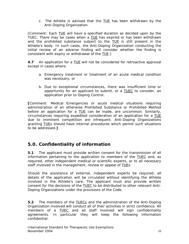c. The A*thlete* is advised that the TUE has been withdrawn by the *Anti-Doping Organization*.

<span id="page-9-0"></span>*[Comment: Each TUE will have a specified duration as decided upon by the TUEC. There may be cases when a TUE has expired or has been withdrawn and the prohibited substance subject to the TUE is still present in the Athlete's body. In such cases, the Anti-Doping Organization conducting the initial review of an adverse finding will consider whether the finding is consistent with expiry or withdrawal of the TUE.]* 

**4.7** An application for a TUE will not be considered for retroactive approval except in cases where:

- a. Emergency treatment or treatment of an acute medical condition was necessary, or
- b. Due to exceptional circumstances, there was insufficient time or opportunity for an applicant to submit, or a TUEC to consider, an application prior to *Doping Control*.

*[Comment: Medical Emergencies or acute medical situations requiring administration of an otherwise Prohibited Substance or Prohibited Method before an application for a* TUE *can be made, are uncommon. Similarly, circumstances requiring expedited consideration of an application for a* TUE *due to imminent competition are infrequent. Anti-Doping Organizations granting* TUE*s should have internal procedures which permit such situations to be addressed.]*

### **5.0. Confidentiality of information**

**5.1** The applicant must provide written consent for the transmission of all information pertaining to the application to members of the TUEC and, as required, other independent medical or scientific experts, or to all necessary staff involved in the management, review or appeal of TUEs.

Should the assistance of external, independent experts be required, all details of the application will be circulated without identifying the *Athlete* involved in the *Athlete*'s care. The applicant must also provide written consent for the decisions of the TUEC to be distributed to other relevant *Anti-Doping Organizations* under the provisions of the *Code*.

**5.2** The members of the TUECs and the administration of the *Anti-Doping Organization* involved will conduct all of their activities in strict confidence. All members of a TUEC and all staff involved will sign confidentiality agreements. In particular they will keep the following information confidential: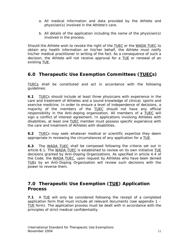- <span id="page-10-0"></span>a. All medical information and data provided by the *Athlete* and physician(s) involved in the *Athlete*'s care.
- b. All details of the application including the name of the physician(s) involved in the process.

Should the *Athlete* wish to revoke the right of the TUEC or the *WADA* TUEC to obtain any health information on his/her behalf, the *Athlete* must notify his/her medical practitioner in writing of the fact. As a consequence of such a decision, the *Athlete* will not receive approval for a TUE or renewal of an existing TUE.

# **6.0 Therapeutic Use Exemption Committees (TUECs)**

TUECs shall be constituted and act in accordance with the following guidelines:

**6.1** TUECs should include at least three physicians with experience in the care and treatment of *Athlete*s and a sound knowledge of clinical, sports and exercise medicine. In order to ensure a level of independence of decisions, a majority of the members of the TUEC should not have any official responsibility in the *Anti-doping organization*. All members of a TUEC will sign a conflict of interest agreement. In applications involving *Athlete*s with disabilities, at least one TUEC member must possess specific experience with the care and treatment of *Athlete*s with disabilities.

**6.2** TUECs may seek whatever medical or scientific expertise they deem appropriate in reviewing the circumstances of any application for a TUE.

**6.3** The *WADA* TUEC shall be composed following the criteria set out in article 6.1. The *WADA* TUEC is established to review on its own initiative TUE decisions granted by *Anti-Doping Organizations*. As specified in article 4.4 of the *Code,* the *WADA* TUEC, upon request by *Athletes* who have been denied TUEs by an *Anti-Doping Organization* will review such decisions with the power to reverse them.

### **7.0 Therapeutic Use Exemption (TUE) Application Process**

**7.1** A TUE will only be considered following the receipt of a completed application form that must include all relevant documents (see appendix 1 – TUE form). The application process must be dealt with in accordance with the principles of strict medical confidentiality.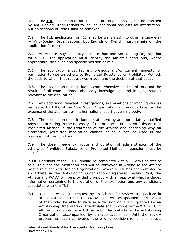**7.2** The TUE application form(s), as set out in appendix 1, can be modified by *Anti-Doping Organizations* to include additional requests for information, but no sections or items shall be removed.

**7.3** The TUE application form(s) may be translated into other language(s) by *Anti-Doping Organizations*, but English or French must remain on the application form(s).

**7.4** An *Athlete* may not apply to more than one *Anti-Doping Organization* for a TUE. The application must identify the *Athlete*'s sport and, where appropriate, discipline and specific position or role.

**7.5** The application must list any previous and/or current requests for permission to use an otherwise *Prohibited Substance* or *Prohibited Method*, the body to whom that request was made, and the decision of that body.

**7.6** The application must include a comprehensive medical history and the results of all examinations, laboratory investigations and imaging studies relevant to the application.

**7.7** Any additional relevant investigations, examinations or imaging studies requested by TUEC of the *Anti-Doping Organization* will be undertaken at the expense of the applicant or his/her national sport governing body.

**7.8** The application must include a statement by an appropriately qualified physician attesting to the necessity of the otherwise *Prohibited Substance* or *Prohibited Method* in the treatment of the *Athlete* and describing why an alternative, permitted medication cannot, or could not, be used in the treatment of this condition.

**7.9** The dose, frequency, route and duration of administration of the otherwise *Prohibited Substance* or *Prohibited Method* in question must be specified.

**7.10** Decisions of the **TUEC**, should be completed within 30 days of receipt of all relevant documentation and will be conveyed in writing to the *Athlete* by the relevant *Anti-Doping Organization*. Where a TUE has been granted to an *Athlete* in the *Anti-Doping Organization Registered Testing Pool*, the *Athlete* and *WADA* will be provided promptly with an approval which includes information pertaining to the duration of the exemption and any conditions associated with the TUE.

**7.11** a. Upon receiving a request by an *Athlete* for review, as specified in article 4.4. of the Code, the *WADA* TUEC will, as specified in article 4.4 of the *Code,* be able to reverse a decision on a TUE granted by an *Anti-Doping Organization*. The *Athlete* shall provide to the *WADA* TUEC all the information for a *TUE* as submitted initially to the *Anti-Doping Organization* accompanied by an application fee. Until the review process has been completed, the original decision remains in effect.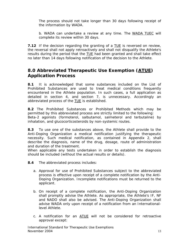<span id="page-12-0"></span>The process should not take longer than 30 days following receipt of the information by *WADA*.

 b. *WADA* can undertake a review at any time. The *WADA* TUEC will complete its review within 30 days.

**7.12** If the decision regarding the granting of a TUE is reversed on review, the reversal shall not apply retroactively and shall not disqualify the *Athlete*'s results during the period that the TUE had been granted and shall take effect no later than 14 days following notification of the decision to the *Athlete*.

### **8.0 Abbreviated Therapeutic Use Exemption (ATUE) Application Process**

**8.1** It is acknowledged that some substances included on the *List of Prohibited Substances* are used to treat medical conditions frequently encountered in the *Athlete* population. In such cases, a full application as detailed in section 4, and section 7, is unnecessary. Accordingly an abbreviated process of the TUE is established.

**8.2** The *Prohibited Substances* or *Prohibited Methods* which may be permitted by this abbreviated process are strictly limited to the following: Beta-2 agonists (formoterol, salbutamol, salmeterol and terbutaline) by inhalation, and glucocorticosteroids by non-systemic routes.

**8.3** To use one of the substances above, the *Athlete* shall provide to the *Anti-Doping Organization* a medical notification justifying the therapeutic necessity. Such medical notification, as contained in Appendix 2, shall describe the diagnosis, name of the drug, dosage, route of administration and duration of the treatment.

When applicable any tests undertaken in order to establish the diagnosis should be included (without the actual results or details).

- **8.4** The abbreviated process includes:
	- a. Approval for use of *Prohibited Substances* subject to the abbreviated process is effective upon receipt of a complete notification by the *Anti-Doping Organization.* Incomplete notifications must be returned to the applicant.
	- *b.* On receipt of a complete notification, the *Anti-Doping Organization* shall promptly advise the *Athlete*. As appropriate, the *Athlete*'s IF, NF and NADO shall also be advised. The *Anti-Doping Organization* shall advise WADA only upon receipt of a notification from an *Internationallevel Athlete.*
	- c. A notification for an ATUE will not be considered for retroactive approval except: